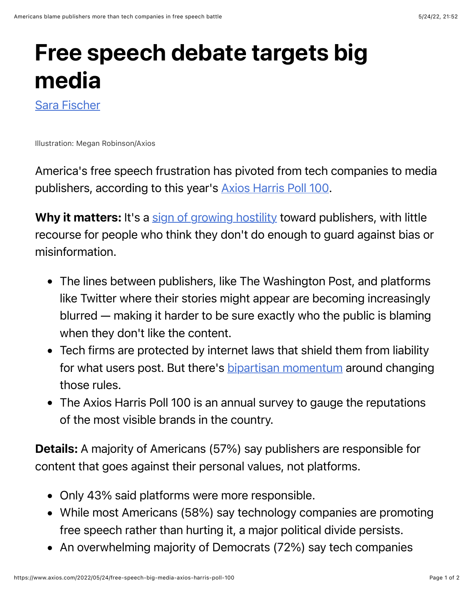## Free speech debate targets big media

[Sara Fischer](https://www.axios.com/authors/sara)

Illustration: Megan Robinson/Axios

America's free speech frustration has pivoted from tech companies to media publishers, according to this year's [Axios Harris Poll 100.](https://www.axios.com/2022/05/24/2022-axios-harris-poll-100-rankings)

Why it matters: It's a [sign of growing hostility](https://www.axios.com/2022/05/24/axios-harris-poll-100-corporate-brands-politics) toward publishers, with little recourse for people who think they don't do enough to guard against bias or misinformation.

- The lines between publishers, like The Washington Post, and platforms like Twitter where their stories might appear are becoming increasingly blurred — making it harder to be sure exactly who the public is blaming when they don't like the content.
- Tech firms are protected by internet laws that shield them from liability for what users post. But there's **bipartisan momentum** around changing those rules.
- The Axios Harris Poll 100 is an annual survey to gauge the reputations of the most visible brands in the country.

Details: A majority of Americans (57%) say publishers are responsible for content that goes against their personal values, not platforms.

- Only 43% said platforms were more responsible.
- While most Americans (58%) say technology companies are promoting free speech rather than hurting it, a major political divide persists.
- An overwhelming majority of Democrats (72%) say tech companies